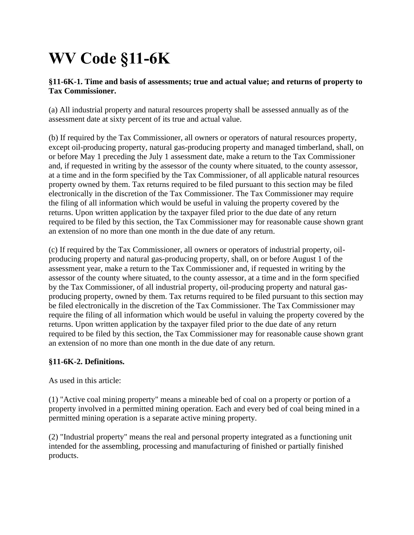# **WV Code §11-6K**

### **§11-6K-1. Time and basis of assessments; true and actual value; and returns of property to Tax Commissioner.**

(a) All industrial property and natural resources property shall be assessed annually as of the assessment date at sixty percent of its true and actual value.

(b) If required by the Tax Commissioner, all owners or operators of natural resources property, except oil-producing property, natural gas-producing property and managed timberland, shall, on or before May 1 preceding the July 1 assessment date, make a return to the Tax Commissioner and, if requested in writing by the assessor of the county where situated, to the county assessor, at a time and in the form specified by the Tax Commissioner, of all applicable natural resources property owned by them. Tax returns required to be filed pursuant to this section may be filed electronically in the discretion of the Tax Commissioner. The Tax Commissioner may require the filing of all information which would be useful in valuing the property covered by the returns. Upon written application by the taxpayer filed prior to the due date of any return required to be filed by this section, the Tax Commissioner may for reasonable cause shown grant an extension of no more than one month in the due date of any return.

(c) If required by the Tax Commissioner, all owners or operators of industrial property, oilproducing property and natural gas-producing property, shall, on or before August 1 of the assessment year, make a return to the Tax Commissioner and, if requested in writing by the assessor of the county where situated, to the county assessor, at a time and in the form specified by the Tax Commissioner, of all industrial property, oil-producing property and natural gasproducing property, owned by them. Tax returns required to be filed pursuant to this section may be filed electronically in the discretion of the Tax Commissioner. The Tax Commissioner may require the filing of all information which would be useful in valuing the property covered by the returns. Upon written application by the taxpayer filed prior to the due date of any return required to be filed by this section, the Tax Commissioner may for reasonable cause shown grant an extension of no more than one month in the due date of any return.

## **§11-6K-2. Definitions.**

As used in this article:

(1) "Active coal mining property" means a mineable bed of coal on a property or portion of a property involved in a permitted mining operation. Each and every bed of coal being mined in a permitted mining operation is a separate active mining property.

(2) "Industrial property" means the real and personal property integrated as a functioning unit intended for the assembling, processing and manufacturing of finished or partially finished products.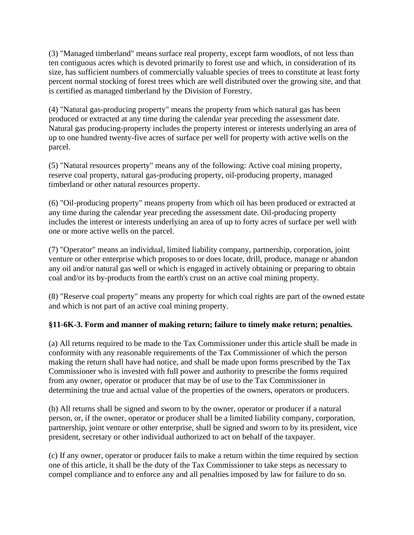(3) "Managed timberland" means surface real property, except farm woodlots, of not less than ten contiguous acres which is devoted primarily to forest use and which, in consideration of its size, has sufficient numbers of commercially valuable species of trees to constitute at least forty percent normal stocking of forest trees which are well distributed over the growing site, and that is certified as managed timberland by the Division of Forestry.

(4) "Natural gas-producing property" means the property from which natural gas has been produced or extracted at any time during the calendar year preceding the assessment date. Natural gas producing-property includes the property interest or interests underlying an area of up to one hundred twenty-five acres of surface per well for property with active wells on the parcel.

(5) "Natural resources property" means any of the following: Active coal mining property, reserve coal property, natural gas-producing property, oil-producing property, managed timberland or other natural resources property.

(6) "Oil-producing property" means property from which oil has been produced or extracted at any time during the calendar year preceding the assessment date. Oil-producing property includes the interest or interests underlying an area of up to forty acres of surface per well with one or more active wells on the parcel.

(7) "Operator" means an individual, limited liability company, partnership, corporation, joint venture or other enterprise which proposes to or does locate, drill, produce, manage or abandon any oil and/or natural gas well or which is engaged in actively obtaining or preparing to obtain coal and/or its by-products from the earth's crust on an active coal mining property.

(8) "Reserve coal property" means any property for which coal rights are part of the owned estate and which is not part of an active coal mining property.

## **§11-6K-3. Form and manner of making return; failure to timely make return; penalties.**

(a) All returns required to be made to the Tax Commissioner under this article shall be made in conformity with any reasonable requirements of the Tax Commissioner of which the person making the return shall have had notice, and shall be made upon forms prescribed by the Tax Commissioner who is invested with full power and authority to prescribe the forms required from any owner, operator or producer that may be of use to the Tax Commissioner in determining the true and actual value of the properties of the owners, operators or producers.

(b) All returns shall be signed and sworn to by the owner, operator or producer if a natural person, or, if the owner, operator or producer shall be a limited liability company, corporation, partnership, joint venture or other enterprise, shall be signed and sworn to by its president, vice president, secretary or other individual authorized to act on behalf of the taxpayer.

(c) If any owner, operator or producer fails to make a return within the time required by section one of this article, it shall be the duty of the Tax Commissioner to take steps as necessary to compel compliance and to enforce any and all penalties imposed by law for failure to do so.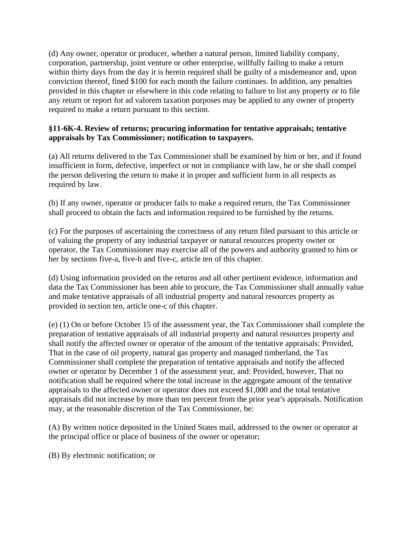(d) Any owner, operator or producer, whether a natural person, limited liability company, corporation, partnership, joint venture or other enterprise, willfully failing to make a return within thirty days from the day it is herein required shall be guilty of a misdemeanor and, upon conviction thereof, fined \$100 for each month the failure continues. In addition, any penalties provided in this chapter or elsewhere in this code relating to failure to list any property or to file any return or report for ad valorem taxation purposes may be applied to any owner of property required to make a return pursuant to this section.

#### **§11-6K-4. Review of returns; procuring information for tentative appraisals; tentative appraisals by Tax Commissioner; notification to taxpayers.**

(a) All returns delivered to the Tax Commissioner shall be examined by him or her, and if found insufficient in form, defective, imperfect or not in compliance with law, he or she shall compel the person delivering the return to make it in proper and sufficient form in all respects as required by law.

(b) If any owner, operator or producer fails to make a required return, the Tax Commissioner shall proceed to obtain the facts and information required to be furnished by the returns.

(c) For the purposes of ascertaining the correctness of any return filed pursuant to this article or of valuing the property of any industrial taxpayer or natural resources property owner or operator, the Tax Commissioner may exercise all of the powers and authority granted to him or her by sections five-a, five-b and five-c, article ten of this chapter.

(d) Using information provided on the returns and all other pertinent evidence, information and data the Tax Commissioner has been able to procure, the Tax Commissioner shall annually value and make tentative appraisals of all industrial property and natural resources property as provided in section ten, article one-c of this chapter.

(e) (1) On or before October 15 of the assessment year, the Tax Commissioner shall complete the preparation of tentative appraisals of all industrial property and natural resources property and shall notify the affected owner or operator of the amount of the tentative appraisals: Provided, That in the case of oil property, natural gas property and managed timberland, the Tax Commissioner shall complete the preparation of tentative appraisals and notify the affected owner or operator by December 1 of the assessment year, and: Provided, however, That no notification shall be required where the total increase in the aggregate amount of the tentative appraisals to the affected owner or operator does not exceed \$1,000 and the total tentative appraisals did not increase by more than ten percent from the prior year's appraisals. Notification may, at the reasonable discretion of the Tax Commissioner, be:

(A) By written notice deposited in the United States mail, addressed to the owner or operator at the principal office or place of business of the owner or operator;

(B) By electronic notification; or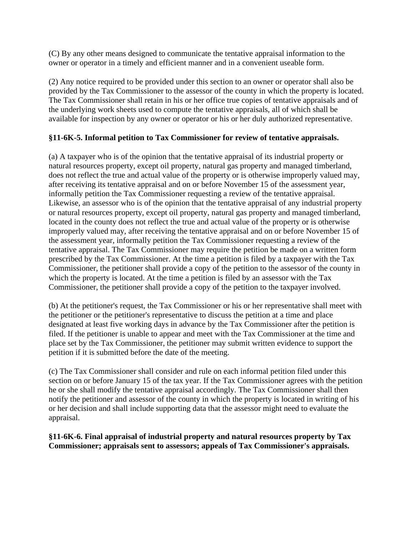(C) By any other means designed to communicate the tentative appraisal information to the owner or operator in a timely and efficient manner and in a convenient useable form.

(2) Any notice required to be provided under this section to an owner or operator shall also be provided by the Tax Commissioner to the assessor of the county in which the property is located. The Tax Commissioner shall retain in his or her office true copies of tentative appraisals and of the underlying work sheets used to compute the tentative appraisals, all of which shall be available for inspection by any owner or operator or his or her duly authorized representative.

#### **§11-6K-5. Informal petition to Tax Commissioner for review of tentative appraisals.**

(a) A taxpayer who is of the opinion that the tentative appraisal of its industrial property or natural resources property, except oil property, natural gas property and managed timberland, does not reflect the true and actual value of the property or is otherwise improperly valued may, after receiving its tentative appraisal and on or before November 15 of the assessment year, informally petition the Tax Commissioner requesting a review of the tentative appraisal. Likewise, an assessor who is of the opinion that the tentative appraisal of any industrial property or natural resources property, except oil property, natural gas property and managed timberland, located in the county does not reflect the true and actual value of the property or is otherwise improperly valued may, after receiving the tentative appraisal and on or before November 15 of the assessment year, informally petition the Tax Commissioner requesting a review of the tentative appraisal. The Tax Commissioner may require the petition be made on a written form prescribed by the Tax Commissioner. At the time a petition is filed by a taxpayer with the Tax Commissioner, the petitioner shall provide a copy of the petition to the assessor of the county in which the property is located. At the time a petition is filed by an assessor with the Tax Commissioner, the petitioner shall provide a copy of the petition to the taxpayer involved.

(b) At the petitioner's request, the Tax Commissioner or his or her representative shall meet with the petitioner or the petitioner's representative to discuss the petition at a time and place designated at least five working days in advance by the Tax Commissioner after the petition is filed. If the petitioner is unable to appear and meet with the Tax Commissioner at the time and place set by the Tax Commissioner, the petitioner may submit written evidence to support the petition if it is submitted before the date of the meeting.

(c) The Tax Commissioner shall consider and rule on each informal petition filed under this section on or before January 15 of the tax year. If the Tax Commissioner agrees with the petition he or she shall modify the tentative appraisal accordingly. The Tax Commissioner shall then notify the petitioner and assessor of the county in which the property is located in writing of his or her decision and shall include supporting data that the assessor might need to evaluate the appraisal.

**§11-6K-6. Final appraisal of industrial property and natural resources property by Tax Commissioner; appraisals sent to assessors; appeals of Tax Commissioner's appraisals.**